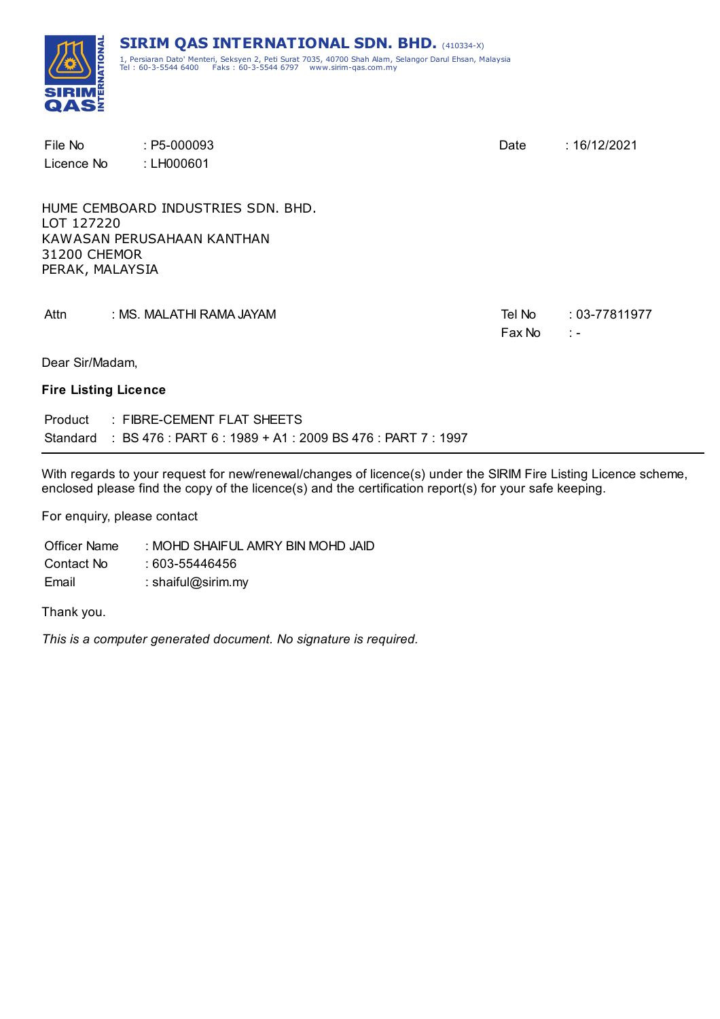

| File No<br>Licence No                         | $: P5-000093$<br>: LH000601                                      | Date             | : 16/12/2021                      |
|-----------------------------------------------|------------------------------------------------------------------|------------------|-----------------------------------|
| LOT 127220<br>31200 CHEMOR<br>PERAK, MALAYSIA | HUME CEMBOARD INDUSTRIES SDN, BHD.<br>KAWASAN PERUSAHAAN KANTHAN |                  |                                   |
| Attn                                          | : MS. MALATHI RAMA JAYAM                                         | Tel No<br>Fax No | $: 03 - 77811977$<br>$\ddot{ }$ = |
| Dear Sir/Madam,                               |                                                                  |                  |                                   |
| <b>Fire Listing Licence</b>                   |                                                                  |                  |                                   |

Product : FIBRE-CEMENT FLAT SHEETS Standard : BS 476 : PART 6 : 1989 + A1 : 2009 BS 476 : PART 7 : 1997

With regards to your request for new/renewal/changes of licence(s) under the SIRIM Fire Listing Licence scheme, enclosed please find the copy of the licence(s) and the certification report(s) for your safe keeping.

For enquiry, please contact

Officer Name : MOHD SHAIFUL AMRY BIN MOHD JAID Contact No : 603-55446456 Email : shaiful@sirim.my

Thank you.

*This is a computer generated document. No signature is required.*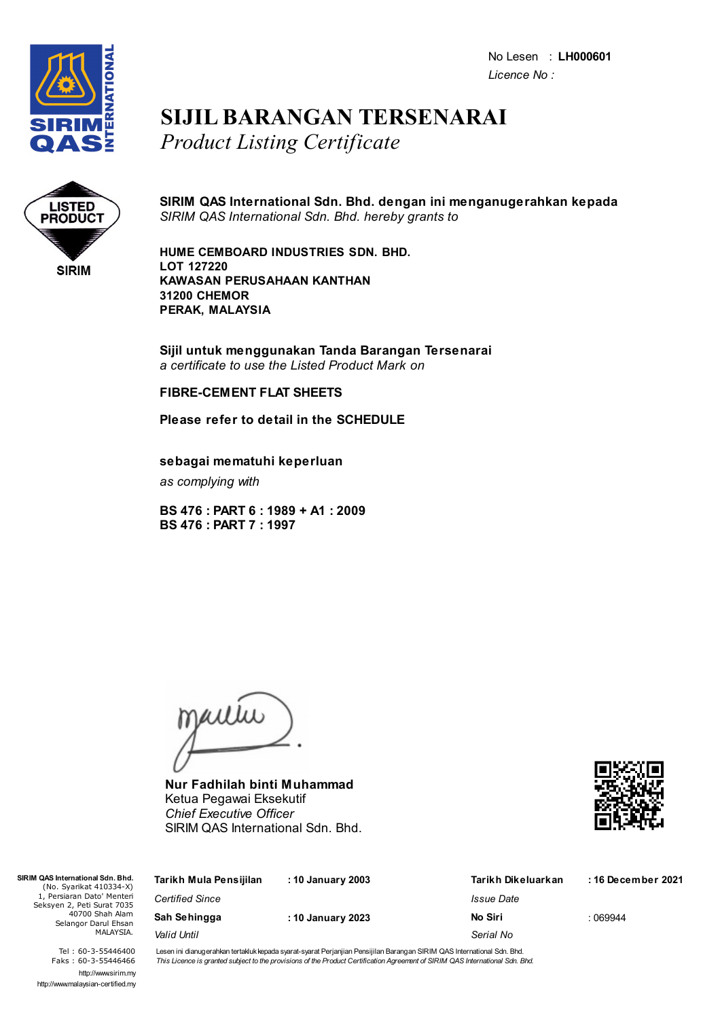No Lesen : **LH000601** *Licence No :*



### **SIJIL BARANGAN TERSENARAI** *Product Listing Certificate*



#### **SIRIM QAS International Sdn. Bhd. dengan ini menganugerahkan kepada** *SIRIM QAS International Sdn. Bhd. hereby grants to*

**HUME CEMBOARD INDUSTRIES SDN. BHD. LOT 127220 KAWASAN PERUSAHAAN KANTHAN 31200 CHEMOR PERAK, MALAYSIA**

**Sijil untuk menggunakan Tanda Barangan Tersenarai** *a certificate to use the Listed Product Mark on*

#### **FIBRE-CEMENT FLAT SHEETS**

#### **Please refer to detail in the SCHEDULE**

**sebagai mematuhi keperluan**

*as complying with*

**BS 476 : PART 6 : 1989 + A1 : 2009 BS 476 : PART 7 : 1997**

jailie

**Nur Fadhilah binti Muhammad** Ketua Pegawai Eksekutif *Chief Executive Officer* SIRIM QAS International Sdn. Bhd.



| Tarikh Mula Pensijilan | : 10 January 2003 | Tarikh Dikeluarkan | :16 December 2021 |
|------------------------|-------------------|--------------------|-------------------|
| <b>Certified Since</b> |                   | Issue Date         |                   |
| Sah Sehingga           | : 10 January 2023 | No Siri            | :069944           |
| Valid Until            |                   | Serial No          |                   |
|                        |                   |                    |                   |

Tel : 60-3-55446400 Faks : 60-3-55446466 http://www.sirim.my http://www.malaysian-certified.my

 $SIRIMO4$ 

Lesen ini dianugerahkan tertakluk kepada syarat-syarat Perjanjian Pensijilan Barangan SIRIM QAS International Sdn. Bhd. This Licence is granted subject to the provisions of the Product Certification Agreement of SIRIM QAS International Sdn. Bhd.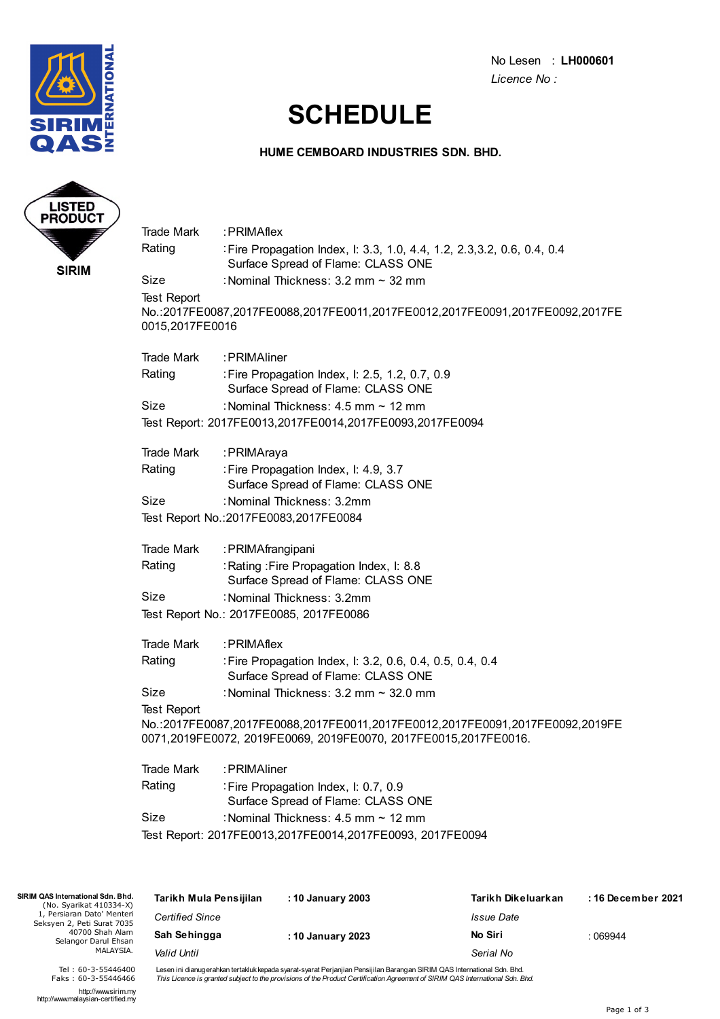

No Lesen : **LH000601** *Licence No :*

### **SCHEDULE**

#### **HUME CEMBOARD INDUSTRIES SDN. BHD.**



| Trade Mark                            | :PRIMAflex                                                                                                                                      |
|---------------------------------------|-------------------------------------------------------------------------------------------------------------------------------------------------|
| Rating                                | : Fire Propagation Index, I: 3.3, 1.0, 4.4, 1.2, 2.3, 3.2, 0.6, 0.4, 0.4<br>Surface Spread of Flame: CLASS ONE                                  |
| Size                                  | : Nominal Thickness: 3.2 mm ~ 32 mm                                                                                                             |
| <b>Test Report</b><br>0015,2017FE0016 | No.:2017FE0087,2017FE0088,2017FE0011,2017FE0012,2017FE0091,2017FE0092,2017FE                                                                    |
| <b>Trade Mark</b>                     | : PRIMAliner                                                                                                                                    |
| Rating                                | : Fire Propagation Index, I: 2.5, 1.2, 0.7, 0.9<br>Surface Spread of Flame: CLASS ONE                                                           |
| Size                                  | : Nominal Thickness: 4.5 mm ~ 12 mm                                                                                                             |
|                                       | Test Report: 2017FE0013,2017FE0014,2017FE0093,2017FE0094                                                                                        |
| <b>Trade Mark</b>                     | : PRIMAraya                                                                                                                                     |
| Rating                                | : Fire Propagation Index, I: 4.9, 3.7<br>Surface Spread of Flame: CLASS ONE                                                                     |
| Size                                  | : Nominal Thickness: 3.2mm                                                                                                                      |
|                                       | Test Report No.: 2017FE0083, 2017FE0084                                                                                                         |
| <b>Trade Mark</b>                     | : PRIMAfrangipani                                                                                                                               |
| Rating                                | : Rating : Fire Propagation Index, I: 8.8<br>Surface Spread of Flame: CLASS ONE                                                                 |
| Size                                  | : Nominal Thickness: 3.2mm                                                                                                                      |
|                                       | Test Report No.: 2017FE0085, 2017FE0086                                                                                                         |
| <b>Trade Mark</b>                     | : PRIMAflex                                                                                                                                     |
| Rating                                | : Fire Propagation Index, I: 3.2, 0.6, 0.4, 0.5, 0.4, 0.4<br>Surface Spread of Flame: CLASS ONE                                                 |
| Size                                  | : Nominal Thickness: 3.2 mm ~ 32.0 mm                                                                                                           |
| <b>Test Report</b>                    |                                                                                                                                                 |
|                                       | No.:2017FE0087,2017FE0088,2017FE0011,2017FE0012,2017FE0091,2017FE0092,2019FE<br>0071,2019FE0072, 2019FE0069, 2019FE0070, 2017FE0015,2017FE0016. |
| <b>Trade Mark</b>                     | :PRIMAliner                                                                                                                                     |
| Rating                                | : Fire Propagation Index, I: 0.7, 0.9<br>Surface Spread of Flame: CLASS ONE                                                                     |
| Size                                  | : Nominal Thickness: 4.5 mm ~ 12 mm                                                                                                             |

Test Report: 2017FE0013,2017FE0014,2017FE0093, 2017FE0094

| SIRIM QAS International Sdn. Bhd.<br>(No. Syarikat 410334-X)                                                     | Tarikh Mula Pensijilan | : 10 January 2003 | Tarikh Dikeluarkan       | :16 December 2021 |
|------------------------------------------------------------------------------------------------------------------|------------------------|-------------------|--------------------------|-------------------|
| 1, Persiaran Dato' Menteri<br>Seksyen 2, Peti Surat 7035<br>40700 Shah Alam<br>Selangor Darul Ehsan<br>MALAYSIA. | <b>Certified Since</b> |                   | <i><b>Issue Date</b></i> |                   |
|                                                                                                                  | Sah Sehingga           | : 10 January 2023 | No Siri                  | : 069944          |
|                                                                                                                  | Valid Until            |                   | Serial No                |                   |
|                                                                                                                  |                        |                   |                          |                   |

Lesen ini dianugerahkan tertakluk kepada syarat-syarat Perjanjian Pensijilan Barangan SIRIM QAS International Sdn. Bhd.<br>*This Licence is granted subject to the provisions of the Product Certification Agreement of SIRIM QAS* 

http://www.sirim.my http://www.malaysian-certified.my

Tel : 60-3-55446400 Faks : 60-3-55446466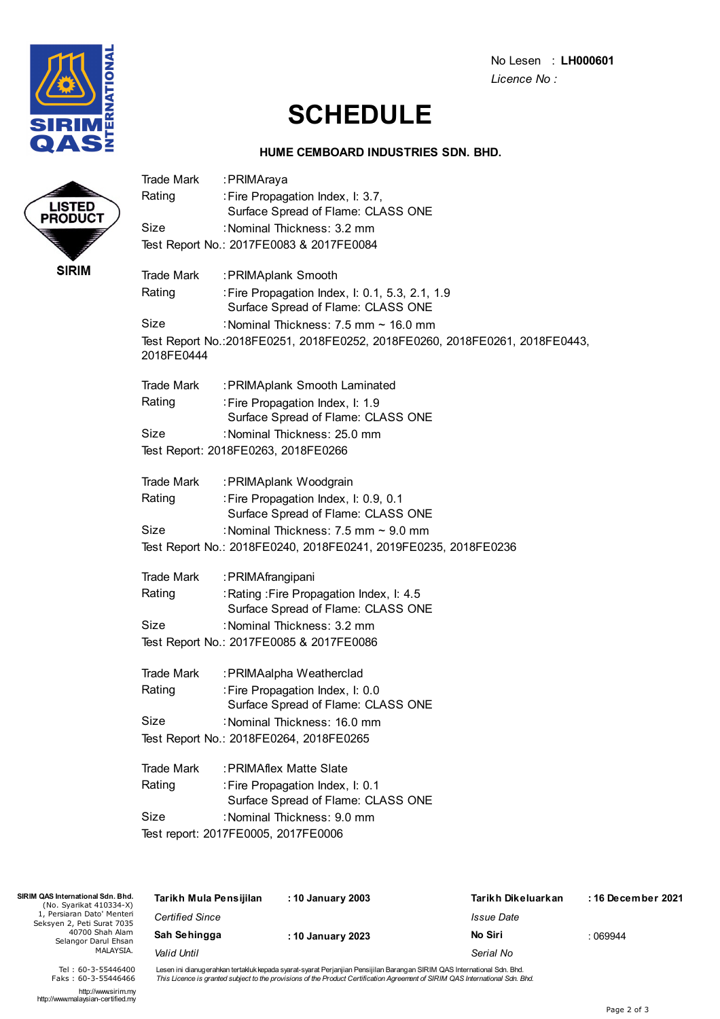

LISTED<br>PRODUCT

**SIRIM** 

No Lesen : **LH000601** *Licence No :*

# **SCHEDULE**

#### **HUME CEMBOARD INDUSTRIES SDN. BHD.**

| Trade Mark        | :PRIMAraya                                                                            |
|-------------------|---------------------------------------------------------------------------------------|
| Rating            | : Fire Propagation Index, I: 3.7,<br>Surface Spread of Flame: CLASS ONE               |
| Size              | : Nominal Thickness: 3.2 mm                                                           |
|                   | Test Report No.: 2017FE0083 & 2017FE0084                                              |
| <b>Trade Mark</b> | :PRIMAplank Smooth                                                                    |
| Rating            | : Fire Propagation Index, I: 0.1, 5.3, 2.1, 1.9<br>Surface Spread of Flame: CLASS ONE |
| Size              | : Nominal Thickness: $7.5$ mm $\sim$ 16.0 mm                                          |
| 2018FE0444        | Test Report No.:2018FE0251, 2018FE0252, 2018FE0260, 2018FE0261, 2018FE0443,           |
| Trade Mark        | : PRIMAplank Smooth Laminated                                                         |
| Rating            | : Fire Propagation Index, I: 1.9<br>Surface Spread of Flame: CLASS ONE                |
| Size              | : Nominal Thickness: 25.0 mm                                                          |
|                   | Test Report: 2018FE0263, 2018FE0266                                                   |
| <b>Trade Mark</b> | : PRIMAplank Woodgrain                                                                |
| Rating            | : Fire Propagation Index, I: 0.9, 0.1<br>Surface Spread of Flame: CLASS ONE           |
| Size              | : Nominal Thickness: $7.5$ mm $\sim$ 9.0 mm                                           |
|                   | Test Report No.: 2018FE0240, 2018FE0241, 2019FE0235, 2018FE0236                       |
| <b>Trade Mark</b> | : PRIMAfrangipani                                                                     |
| Rating            | : Rating : Fire Propagation Index, I: 4.5<br>Surface Spread of Flame: CLASS ONE       |
| Size              | : Nominal Thickness: 3.2 mm                                                           |
|                   | Test Report No.: 2017FE0085 & 2017FE0086                                              |
| <b>Trade Mark</b> | : PRIMAalpha Weatherclad                                                              |
| Rating            | : Fire Propagation Index, I: 0.0<br>Surface Spread of Flame: CLASS ONE                |
| Size              | : Nominal Thickness: 16.0 mm                                                          |
|                   | Test Report No.: 2018FE0264, 2018FE0265                                               |
| <b>Trade Mark</b> | : PRIMAflex Matte Slate                                                               |
| Rating            | : Fire Propagation Index, I: 0.1<br>Surface Spread of Flame: CLASS ONE                |
| Size              | : Nominal Thickness: 9.0 mm                                                           |
|                   | Test report: 2017FE0005, 2017FE0006                                                   |
|                   |                                                                                       |
| Bhd.              | Torikh Dikaluarkan<br>.40 <sub>n</sub>                                                |

| SIRIM QAS International Sdn. Bhd.<br>(No. Syarikat 410334-X) | Tarikh Mula Pensijilan | : 10 January 2003 | Tarikh Dikeluarkan | : 16 December 2021 |
|--------------------------------------------------------------|------------------------|-------------------|--------------------|--------------------|
| 1, Persiaran Dato' Menteri<br>Seksyen 2, Peti Surat 7035     | <b>Certified Since</b> |                   | Issue Date         |                    |
| 40700 Shah Alam<br>Selangor Darul Ehsan                      | Sah Sehingga           | : 10 January 2023 | No Siri            | :069944            |
| MALAYSIA.                                                    | Valid Until            |                   | Serial No          |                    |

Lesen ini dianugerahkan tertakluk kepada syarat-syarat Perjanjian Pensijilan Barangan SIRIM QAS International Sdn. Bhd.<br>*This Licence is granted subject to the provisions of the Product Certification Agreement of SIRIM QAS* 

http://www.sirim.my http://www.malaysian-certified.my

Tel : 60-3-55446400 Faks : 60-3-55446466